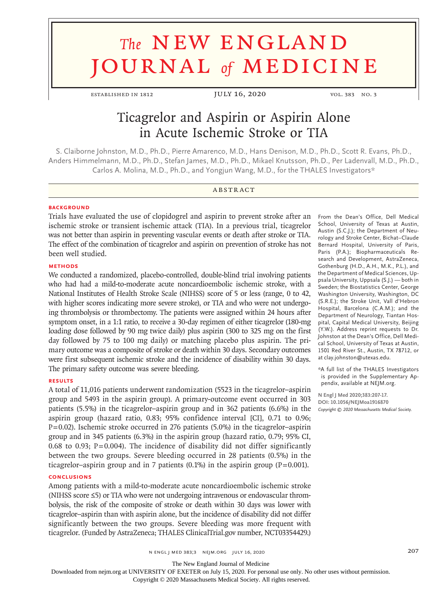# **The NEW ENGLAND** journal *of* medicine

ESTABLISHED IN 1812 JULY 16, 2020 VOL. 383 NO. 3

# Ticagrelor and Aspirin or Aspirin Alone in Acute Ischemic Stroke or TIA

S. Claiborne Johnston, M.D., Ph.D., Pierre Amarenco, M.D., Hans Denison, M.D., Ph.D., Scott R. Evans, Ph.D., Anders Himmelmann, M.D., Ph.D., Stefan James, M.D., Ph.D., Mikael Knutsson, Ph.D., Per Ladenvall, M.D., Ph.D., Carlos A. Molina, M.D., Ph.D., and Yongjun Wang, M.D., for the THALES Investigators\*

# **ABSTRACT**

#### **BACKGROUND**

Trials have evaluated the use of clopidogrel and aspirin to prevent stroke after an ischemic stroke or transient ischemic attack (TIA). In a previous trial, ticagrelor was not better than aspirin in preventing vascular events or death after stroke or TIA. The effect of the combination of ticagrelor and aspirin on prevention of stroke has not been well studied.

#### **METHODS**

We conducted a randomized, placebo-controlled, double-blind trial involving patients who had had a mild-to-moderate acute noncardioembolic ischemic stroke, with a National Institutes of Health Stroke Scale (NIHSS) score of 5 or less (range, 0 to 42, with higher scores indicating more severe stroke), or TIA and who were not undergoing thrombolysis or thrombectomy. The patients were assigned within 24 hours after symptom onset, in a 1:1 ratio, to receive a 30-day regimen of either ticagrelor (180-mg loading dose followed by 90 mg twice daily) plus aspirin (300 to 325 mg on the first day followed by 75 to 100 mg daily) or matching placebo plus aspirin. The primary outcome was a composite of stroke or death within 30 days. Secondary outcomes were first subsequent ischemic stroke and the incidence of disability within 30 days. The primary safety outcome was severe bleeding.

## **RESULTS**

A total of 11,016 patients underwent randomization (5523 in the ticagrelor–aspirin group and 5493 in the aspirin group). A primary-outcome event occurred in 303 patients (5.5%) in the ticagrelor–aspirin group and in 362 patients (6.6%) in the aspirin group (hazard ratio, 0.83; 95% confidence interval [CI], 0.71 to 0.96;  $P=0.02$ ). Ischemic stroke occurred in 276 patients (5.0%) in the ticagrelor–aspirin group and in 345 patients (6.3%) in the aspirin group (hazard ratio, 0.79; 95% CI, 0.68 to 0.93; P=0.004). The incidence of disability did not differ significantly between the two groups. Severe bleeding occurred in 28 patients (0.5%) in the ticagrelor–aspirin group and in 7 patients  $(0.1\%)$  in the aspirin group  $(P=0.001)$ .

#### **CONCLUSIONS**

Among patients with a mild-to-moderate acute noncardioembolic ischemic stroke (NIHSS score ≤5) or TIA who were not undergoing intravenous or endovascular thrombolysis, the risk of the composite of stroke or death within 30 days was lower with ticagrelor–aspirin than with aspirin alone, but the incidence of disability did not differ significantly between the two groups. Severe bleeding was more frequent with ticagrelor. (Funded by AstraZeneca; THALES ClinicalTrial.gov number, NCT03354429.)

From the Dean's Office, Dell Medical School, University of Texas at Austin, Austin (S.C.J.); the Department of Neurology and Stroke Center, Bichat–Claude Bernard Hospital, University of Paris, Paris (P.A.); Biopharmaceuticals Research and Development, AstraZeneca, Gothenburg (H.D., A.H., M.K., P.L.), and the Department of Medical Sciences, Uppsala University, Uppsala (S.J.) — both in Sweden; the Biostatistics Center, George Washington University, Washington, DC (S.R.E.); the Stroke Unit, Vall d'Hebron Hospital, Barcelona (C.A.M.); and the Department of Neurology, Tiantan Hospital, Capital Medical University, Beijing (Y.W.). Address reprint requests to Dr. Johnston at the Dean's Office, Dell Medical School, University of Texas at Austin, 1501 Red River St., Austin, TX 78712, or at clay.johnston@utexas.edu.

\*A full list of the THALES Investigators is provided in the Supplementary Appendix, available at NEJM.org.

**N Engl J Med 2020;383:207-17. DOI: 10.1056/NEJMoa1916870** *Copyright © 2020 Massachusetts Medical Society.*

n engl j med 383;3 nejm.org July 16, 2020 207

The New England Journal of Medicine

Downloaded from nejm.org at UNIVERSITY OF EXETER on July 15, 2020. For personal use only. No other uses without permission.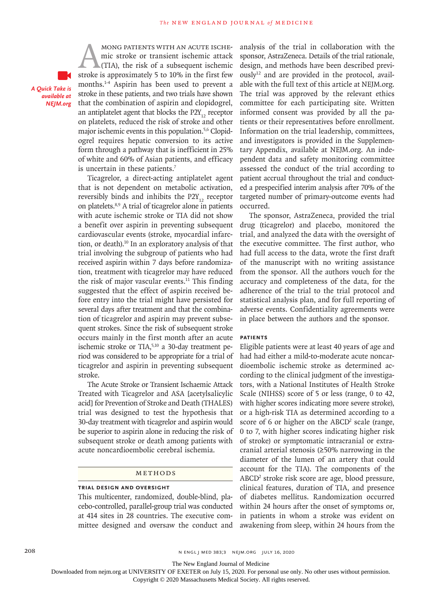*A Quick Take is available at NEJM.org*

MONG PATIENTS WITH AN ACUTE ISCHE-<br>mic stroke or transient ischemic attack<br>(TIA), the risk of a subsequent ischemic<br>stroke is approximately 5 to 10% in the first few mic stroke or transient ischemic attack (TIA), the risk of a subsequent ischemic stroke is approximately 5 to 10% in the first few months.1-4 Aspirin has been used to prevent a stroke in these patients, and two trials have shown that the combination of aspirin and clopidogrel, an antiplatelet agent that blocks the  $P2Y_{12}$  receptor on platelets, reduced the risk of stroke and other major ischemic events in this population.<sup>5,6</sup> Clopidogrel requires hepatic conversion to its active form through a pathway that is inefficient in 25% of white and 60% of Asian patients, and efficacy is uncertain in these patients.<sup>7</sup>

Ticagrelor, a direct-acting antiplatelet agent that is not dependent on metabolic activation, reversibly binds and inhibits the  $P2Y_{12}$  receptor on platelets.8,9 A trial of ticagrelor alone in patients with acute ischemic stroke or TIA did not show a benefit over aspirin in preventing subsequent cardiovascular events (stroke, myocardial infarction, or death).10 In an exploratory analysis of that trial involving the subgroup of patients who had received aspirin within 7 days before randomization, treatment with ticagrelor may have reduced the risk of major vascular events. $11$  This finding suggested that the effect of aspirin received before entry into the trial might have persisted for several days after treatment and that the combination of ticagrelor and aspirin may prevent subsequent strokes. Since the risk of subsequent stroke occurs mainly in the first month after an acute ischemic stroke or TIA,<sup>5,10</sup> a 30-day treatment period was considered to be appropriate for a trial of ticagrelor and aspirin in preventing subsequent stroke.

The Acute Stroke or Transient Ischaemic Attack Treated with Ticagrelor and ASA [acetylsalicylic acid] for Prevention of Stroke and Death (THALES) trial was designed to test the hypothesis that 30-day treatment with ticagrelor and aspirin would be superior to aspirin alone in reducing the risk of subsequent stroke or death among patients with acute noncardioembolic cerebral ischemia.

#### Methods

# **Trial Design and Oversight**

This multicenter, randomized, double-blind, placebo-controlled, parallel-group trial was conducted at 414 sites in 28 countries. The executive committee designed and oversaw the conduct and analysis of the trial in collaboration with the sponsor, AstraZeneca. Details of the trial rationale, design, and methods have been described previ- $\text{ously}^{12}$  and are provided in the protocol, available with the full text of this article at NEJM.org. The trial was approved by the relevant ethics committee for each participating site. Written informed consent was provided by all the patients or their representatives before enrollment. Information on the trial leadership, committees, and investigators is provided in the Supplementary Appendix, available at NEJM.org. An independent data and safety monitoring committee assessed the conduct of the trial according to patient accrual throughout the trial and conducted a prespecified interim analysis after 70% of the targeted number of primary-outcome events had occurred.

The sponsor, AstraZeneca, provided the trial drug (ticagrelor) and placebo, monitored the trial, and analyzed the data with the oversight of the executive committee. The first author, who had full access to the data, wrote the first draft of the manuscript with no writing assistance from the sponsor. All the authors vouch for the accuracy and completeness of the data, for the adherence of the trial to the trial protocol and statistical analysis plan, and for full reporting of adverse events. Confidentiality agreements were in place between the authors and the sponsor.

#### **Patients**

Eligible patients were at least 40 years of age and had had either a mild-to-moderate acute noncardioembolic ischemic stroke as determined according to the clinical judgment of the investigators, with a National Institutes of Health Stroke Scale (NIHSS) score of 5 or less (range, 0 to 42, with higher scores indicating more severe stroke), or a high-risk TIA as determined according to a score of 6 or higher on the ABCD<sup>2</sup> scale (range, 0 to 7, with higher scores indicating higher risk of stroke) or symptomatic intracranial or extracranial arterial stenosis (≥50% narrowing in the diameter of the lumen of an artery that could account for the TIA). The components of the ABCD<sup>2</sup> stroke risk score are age, blood pressure, clinical features, duration of TIA, and presence of diabetes mellitus. Randomization occurred within 24 hours after the onset of symptoms or, in patients in whom a stroke was evident on awakening from sleep, within 24 hours from the

208 n engl j med 383;3 nejm.org July 16, 2020

The New England Journal of Medicine

Downloaded from nejm.org at UNIVERSITY OF EXETER on July 15, 2020. For personal use only. No other uses without permission.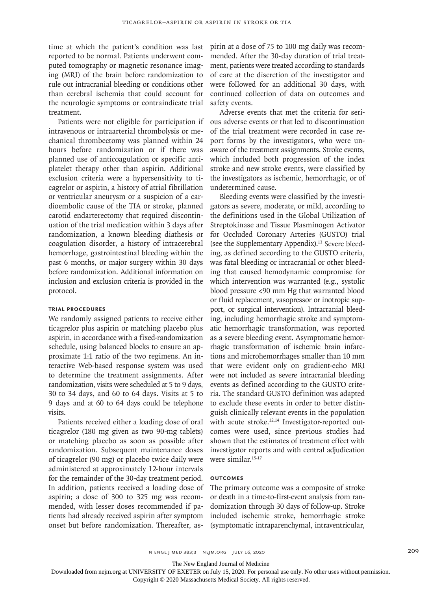time at which the patient's condition was last reported to be normal. Patients underwent computed tomography or magnetic resonance imaging (MRI) of the brain before randomization to rule out intracranial bleeding or conditions other than cerebral ischemia that could account for the neurologic symptoms or contraindicate trial treatment.

Patients were not eligible for participation if intravenous or intraarterial thrombolysis or mechanical thrombectomy was planned within 24 hours before randomization or if there was planned use of anticoagulation or specific antiplatelet therapy other than aspirin. Additional exclusion criteria were a hypersensitivity to ticagrelor or aspirin, a history of atrial fibrillation or ventricular aneurysm or a suspicion of a cardioembolic cause of the TIA or stroke, planned carotid endarterectomy that required discontinuation of the trial medication within 3 days after randomization, a known bleeding diathesis or coagulation disorder, a history of intracerebral hemorrhage, gastrointestinal bleeding within the past 6 months, or major surgery within 30 days before randomization. Additional information on inclusion and exclusion criteria is provided in the protocol.

#### **Trial Procedures**

We randomly assigned patients to receive either ticagrelor plus aspirin or matching placebo plus aspirin, in accordance with a fixed-randomization schedule, using balanced blocks to ensure an approximate 1:1 ratio of the two regimens. An interactive Web-based response system was used to determine the treatment assignments. After randomization, visits were scheduled at 5 to 9 days, 30 to 34 days, and 60 to 64 days. Visits at 5 to 9 days and at 60 to 64 days could be telephone visits.

Patients received either a loading dose of oral ticagrelor (180 mg given as two 90-mg tablets) or matching placebo as soon as possible after randomization. Subsequent maintenance doses of ticagrelor (90 mg) or placebo twice daily were administered at approximately 12-hour intervals for the remainder of the 30-day treatment period. In addition, patients received a loading dose of aspirin; a dose of 300 to 325 mg was recommended, with lesser doses recommended if patients had already received aspirin after symptom onset but before randomization. Thereafter, aspirin at a dose of 75 to 100 mg daily was recommended. After the 30-day duration of trial treatment, patients were treated according to standards of care at the discretion of the investigator and were followed for an additional 30 days, with continued collection of data on outcomes and safety events.

Adverse events that met the criteria for serious adverse events or that led to discontinuation of the trial treatment were recorded in case report forms by the investigators, who were unaware of the treatment assignments. Stroke events, which included both progression of the index stroke and new stroke events, were classified by the investigators as ischemic, hemorrhagic, or of undetermined cause.

Bleeding events were classified by the investigators as severe, moderate, or mild, according to the definitions used in the Global Utilization of Streptokinase and Tissue Plasminogen Activator for Occluded Coronary Arteries (GUSTO) trial (see the Supplementary Appendix).13 Severe bleeding, as defined according to the GUSTO criteria, was fatal bleeding or intracranial or other bleeding that caused hemodynamic compromise for which intervention was warranted (e.g., systolic blood pressure <90 mm Hg that warranted blood or fluid replacement, vasopressor or inotropic support, or surgical intervention). Intracranial bleeding, including hemorrhagic stroke and symptomatic hemorrhagic transformation, was reported as a severe bleeding event. Asymptomatic hemorrhagic transformation of ischemic brain infarctions and microhemorrhages smaller than 10 mm that were evident only on gradient-echo MRI were not included as severe intracranial bleeding events as defined according to the GUSTO criteria. The standard GUSTO definition was adapted to exclude these events in order to better distinguish clinically relevant events in the population with acute stroke.<sup>12,14</sup> Investigator-reported outcomes were used, since previous studies had shown that the estimates of treatment effect with investigator reports and with central adjudication were similar.<sup>15-17</sup>

# **Outcomes**

The primary outcome was a composite of stroke or death in a time-to-first-event analysis from randomization through 30 days of follow-up. Stroke included ischemic stroke, hemorrhagic stroke (symptomatic intraparenchymal, intraventricular,

The New England Journal of Medicine

Downloaded from nejm.org at UNIVERSITY OF EXETER on July 15, 2020. For personal use only. No other uses without permission.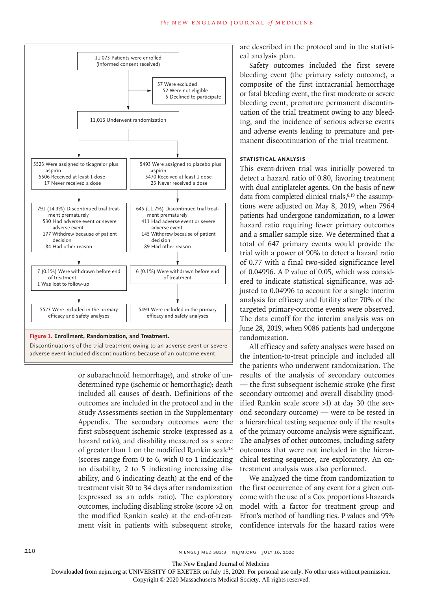

adverse event included discontinuations because of an outcome event.

or subarachnoid hemorrhage), and stroke of undetermined type (ischemic or hemorrhagic); death included all causes of death. Definitions of the outcomes are included in the protocol and in the Study Assessments section in the Supplementary Appendix. The secondary outcomes were the first subsequent ischemic stroke (expressed as a hazard ratio), and disability measured as a score of greater than 1 on the modified Rankin scale<sup>18</sup> (scores range from 0 to 6, with 0 to 1 indicating no disability, 2 to 5 indicating increasing disability, and 6 indicating death) at the end of the treatment visit 30 to 34 days after randomization (expressed as an odds ratio). The exploratory outcomes, including disabling stroke (score >2 on the modified Rankin scale) at the end-of-treatment visit in patients with subsequent stroke, are described in the protocol and in the statistical analysis plan.

Safety outcomes included the first severe bleeding event (the primary safety outcome), a composite of the first intracranial hemorrhage or fatal bleeding event, the first moderate or severe bleeding event, premature permanent discontinuation of the trial treatment owing to any bleeding, and the incidence of serious adverse events and adverse events leading to premature and permanent discontinuation of the trial treatment.

# **Statistical Analysis**

This event-driven trial was initially powered to detect a hazard ratio of 0.80, favoring treatment with dual antiplatelet agents. On the basis of new data from completed clinical trials, $6,19$  the assumptions were adjusted on May 8, 2019, when 7964 patients had undergone randomization, to a lower hazard ratio requiring fewer primary outcomes and a smaller sample size. We determined that a total of 647 primary events would provide the trial with a power of 90% to detect a hazard ratio of 0.77 with a final two-sided significance level of 0.04996. A P value of 0.05, which was considered to indicate statistical significance, was adjusted to 0.04996 to account for a single interim analysis for efficacy and futility after 70% of the targeted primary-outcome events were observed. The data cutoff for the interim analysis was on June 28, 2019, when 9086 patients had undergone randomization.

All efficacy and safety analyses were based on the intention-to-treat principle and included all the patients who underwent randomization. The results of the analysis of secondary outcomes — the first subsequent ischemic stroke (the first secondary outcome) and overall disability (modified Rankin scale score >1) at day 30 (the second secondary outcome) — were to be tested in a hierarchical testing sequence only if the results of the primary outcome analysis were significant. The analyses of other outcomes, including safety outcomes that were not included in the hierarchical testing sequence, are exploratory. An ontreatment analysis was also performed.

We analyzed the time from randomization to the first occurrence of any event for a given outcome with the use of a Cox proportional-hazards model with a factor for treatment group and Efron's method of handling ties. P values and 95% confidence intervals for the hazard ratios were

The New England Journal of Medicine

Downloaded from nejm.org at UNIVERSITY OF EXETER on July 15, 2020. For personal use only. No other uses without permission.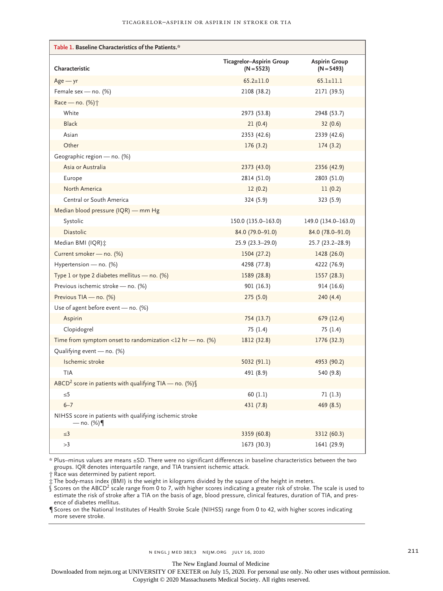| Table 1. Baseline Characteristics of the Patients.*                       |                                          |                                      |
|---------------------------------------------------------------------------|------------------------------------------|--------------------------------------|
| Characteristic                                                            | Ticagrelor-Aspirin Group<br>$(N = 5523)$ | <b>Aspirin Group</b><br>$(N = 5493)$ |
| $Age - yr$                                                                | $65.2 \pm 11.0$                          | $65.1 \pm 11.1$                      |
| Female sex - no. (%)                                                      | 2108 (38.2)                              | 2171 (39.5)                          |
| Race - no. (%) <sup>+</sup>                                               |                                          |                                      |
| White                                                                     | 2973 (53.8)                              | 2948 (53.7)                          |
| <b>Black</b>                                                              | 21(0.4)                                  | 32(0.6)                              |
| Asian                                                                     | 2353 (42.6)                              | 2339 (42.6)                          |
| Other                                                                     | 176(3.2)                                 | 174(3.2)                             |
| Geographic region - no. (%)                                               |                                          |                                      |
| Asia or Australia                                                         | 2373 (43.0)                              | 2356 (42.9)                          |
| Europe                                                                    | 2814 (51.0)                              | 2803 (51.0)                          |
| North America                                                             | 12(0.2)                                  | 11(0.2)                              |
| Central or South America                                                  | 324 (5.9)                                | 323 (5.9)                            |
| Median blood pressure (IQR) - mm Hg                                       |                                          |                                      |
| Systolic                                                                  | 150.0 (135.0-163.0)                      | 149.0 (134.0-163.0)                  |
| Diastolic                                                                 | 84.0 (79.0-91.0)                         | 84.0 (78.0-91.0)                     |
| Median BMI (IQR):                                                         | $25.9(23.3-29.0)$                        | $25.7(23.2 - 28.9)$                  |
| Current smoker - no. (%)                                                  | 1504 (27.2)                              | 1428 (26.0)                          |
| Hypertension - no. (%)                                                    | 4298 (77.8)                              | 4222 (76.9)                          |
| Type 1 or type 2 diabetes mellitus - no. (%)                              | 1589 (28.8)                              | 1557 (28.3)                          |
| Previous ischemic stroke - no. (%)                                        | 901 (16.3)                               | 914 (16.6)                           |
| Previous TIA - no. (%)                                                    | 275(5.0)                                 | 240(4.4)                             |
| Use of agent before event - no. (%)                                       |                                          |                                      |
| Aspirin                                                                   | 754 (13.7)                               | 679 (12.4)                           |
| Clopidogrel                                                               | 75 (1.4)                                 | 75 (1.4)                             |
| Time from symptom onset to randomization <12 hr - no. $(\%)$              | 1812 (32.8)                              | 1776 (32.3)                          |
| Qualifying event - no. (%)                                                |                                          |                                      |
| Ischemic stroke                                                           | 5032 (91.1)                              | 4953 (90.2)                          |
| <b>TIA</b>                                                                | 491 (8.9)                                | 540 (9.8)                            |
| ABCD <sup>2</sup> score in patients with qualifying TIA — no. (%) $\int$  |                                          |                                      |
| ≤5                                                                        | 60(1.1)                                  | 71(1.3)                              |
| $6 - 7$                                                                   | 431 (7.8)                                | 469 (8.5)                            |
| NIHSS score in patients with qualifying ischemic stroke<br>— no. $(\%)$ ¶ |                                          |                                      |
| $\leq$ 3                                                                  | 3359 (60.8)                              | 3312 (60.3)                          |
| >3                                                                        | 1673 (30.3)                              | 1641 (29.9)                          |

\* Plus–minus values are means ±SD. There were no significant differences in baseline characteristics between the two groups. IQR denotes interquartile range, and TIA transient ischemic attack.

† Race was determined by patient report.

‡ The body-mass index (BMI) is the weight in kilograms divided by the square of the height in meters.<br>∫ Scores on the ABCD<sup>2</sup> scale range from 0 to 7, with higher scores indicating a greater risk of stroke. The scale is u estimate the risk of stroke after a TIA on the basis of age, blood pressure, clinical features, duration of TIA, and presence of diabetes mellitus.

¶ Scores on the National Institutes of Health Stroke Scale (NIHSS) range from 0 to 42, with higher scores indicating more severe stroke.

The New England Journal of Medicine

Downloaded from nejm.org at UNIVERSITY OF EXETER on July 15, 2020. For personal use only. No other uses without permission. Copyright © 2020 Massachusetts Medical Society. All rights reserved.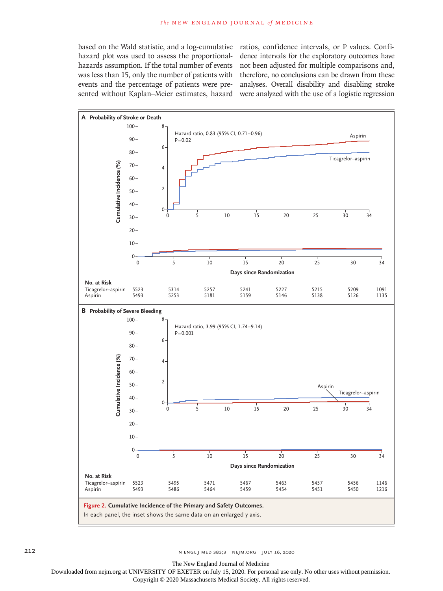hazard plot was used to assess the proportionalwas less than 15, only the number of patients with sented without Kaplan–Meier estimates, hazard were analyzed with the use of a logistic regression

based on the Wald statistic, and a log-cumulative ratios, confidence intervals, or P values. Confihazards assumption. If the total number of events not been adjusted for multiple comparisons and, events and the percentage of patients were pre-analyses. Overall disability and disabling stroke dence intervals for the exploratory outcomes have therefore, no conclusions can be drawn from these



The New England Journal of Medicine

Downloaded from nejm.org at UNIVERSITY OF EXETER on July 15, 2020. For personal use only. No other uses without permission.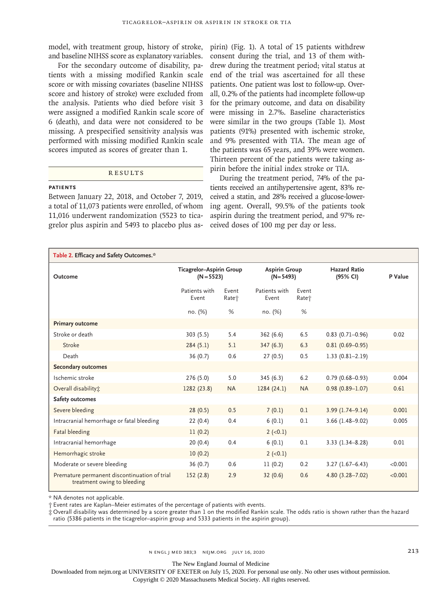model, with treatment group, history of stroke, and baseline NIHSS score as explanatory variables.

For the secondary outcome of disability, patients with a missing modified Rankin scale score or with missing covariates (baseline NIHSS score and history of stroke) were excluded from the analysis. Patients who died before visit 3 were assigned a modified Rankin scale score of 6 (death), and data were not considered to be missing. A prespecified sensitivity analysis was performed with missing modified Rankin scale scores imputed as scores of greater than 1.

## **RESULTS**

#### **Patients**

Between January 22, 2018, and October 7, 2019, a total of 11,073 patients were enrolled, of whom 11,016 underwent randomization (5523 to ticagrelor plus aspirin and 5493 to placebo plus aspirin) (Fig. 1). A total of 15 patients withdrew consent during the trial, and 13 of them withdrew during the treatment period; vital status at end of the trial was ascertained for all these patients. One patient was lost to follow-up. Overall, 0.2% of the patients had incomplete follow-up for the primary outcome, and data on disability were missing in 2.7%. Baseline characteristics were similar in the two groups (Table 1). Most patients (91%) presented with ischemic stroke, and 9% presented with TIA. The mean age of the patients was 65 years, and 39% were women. Thirteen percent of the patients were taking aspirin before the initial index stroke or TIA.

During the treatment period, 74% of the patients received an antihypertensive agent, 83% received a statin, and 28% received a glucose-lowering agent. Overall, 99.5% of the patients took aspirin during the treatment period, and 97% received doses of 100 mg per day or less.

| Table 2. Efficacy and Safety Outcomes.*                                     |                                          |                            |                                    |                            |                                 |         |
|-----------------------------------------------------------------------------|------------------------------------------|----------------------------|------------------------------------|----------------------------|---------------------------------|---------|
| Outcome                                                                     | Ticagrelor-Aspirin Group<br>$(N = 5523)$ |                            | <b>Aspirin Group</b><br>$(N=5493)$ |                            | <b>Hazard Ratio</b><br>(95% CI) | P Value |
|                                                                             | Patients with<br>Event                   | Event<br>Rate <sup>+</sup> | Patients with<br>Event             | Event<br>Rate <sup>+</sup> |                                 |         |
|                                                                             | no. (%)                                  | %                          | no. (%)                            | %                          |                                 |         |
| <b>Primary outcome</b>                                                      |                                          |                            |                                    |                            |                                 |         |
| Stroke or death                                                             | 303(5.5)                                 | 5.4                        | 362(6.6)                           | 6.5                        | $0.83$ (0.71-0.96)              | 0.02    |
| Stroke                                                                      | 284(5.1)                                 | 5.1                        | 347(6.3)                           | 6.3                        | $0.81(0.69 - 0.95)$             |         |
| Death                                                                       | 36(0.7)                                  | 0.6                        | 27(0.5)                            | 0.5                        | $1.33(0.81 - 2.19)$             |         |
| <b>Secondary outcomes</b>                                                   |                                          |                            |                                    |                            |                                 |         |
| Ischemic stroke                                                             | 276 (5.0)                                | 5.0                        | 345(6.3)                           | 6.2                        | $0.79(0.68 - 0.93)$             | 0.004   |
| Overall disability:                                                         | 1282 (23.8)                              | <b>NA</b>                  | 1284(24.1)                         | <b>NA</b>                  | $0.98(0.89 - 1.07)$             | 0.61    |
| Safety outcomes                                                             |                                          |                            |                                    |                            |                                 |         |
| Severe bleeding                                                             | 28(0.5)                                  | 0.5                        | 7(0.1)                             | 0.1                        | $3.99(1.74 - 9.14)$             | 0.001   |
| Intracranial hemorrhage or fatal bleeding                                   | 22(0.4)                                  | 0.4                        | 6(0.1)                             | 0.1                        | $3.66$ (1.48-9.02)              | 0.005   |
| Fatal bleeding                                                              | 11(0.2)                                  |                            | $2 (-0.1)$                         |                            |                                 |         |
| Intracranial hemorrhage                                                     | 20(0.4)                                  | 0.4                        | 6(0.1)                             | 0.1                        | $3.33(1.34 - 8.28)$             | 0.01    |
| Hemorrhagic stroke                                                          | 10(0.2)                                  |                            | $2 (-0.1)$                         |                            |                                 |         |
| Moderate or severe bleeding                                                 | 36(0.7)                                  | 0.6                        | 11(0.2)                            | 0.2                        | $3.27(1.67 - 6.43)$             | < 0.001 |
| Premature permanent discontinuation of trial<br>treatment owing to bleeding | 152(2.8)                                 | 2.9                        | 32(0.6)                            | 0.6                        | $4.80(3.28 - 7.02)$             | < 0.001 |

\* NA denotes not applicable.

† Event rates are Kaplan–Meier estimates of the percentage of patients with events.

‡ Overall disability was determined by a score greater than 1 on the modified Rankin scale. The odds ratio is shown rather than the hazard ratio (5386 patients in the ticagrelor–aspirin group and 5333 patients in the aspirin group).

The New England Journal of Medicine

Downloaded from nejm.org at UNIVERSITY OF EXETER on July 15, 2020. For personal use only. No other uses without permission.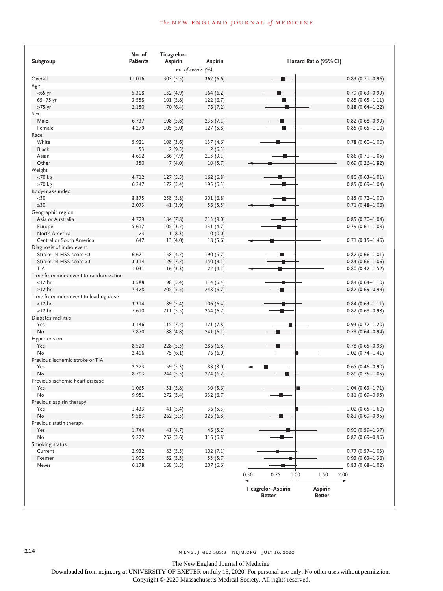# **The NEW ENGLAND JOURNAL of MEDICINE**

| Overall<br>Age<br>$<$ 65 yr<br>$65 - 75$ yr<br>$>75$ yr<br>Sex<br>Male | 11,016<br>5,308<br>3,558<br>2,150<br>6,737<br>4,279 | no. of events (%)<br>303 (5.5)<br>132 (4.9)<br>101(5.8)<br>70 (6.4)<br>198 (5.8) | 362 (6.6)<br>164(6.2)<br>122(6.7)<br>76 (7.2) |                    |      |                | $0.83$ (0.71-0.96)  |
|------------------------------------------------------------------------|-----------------------------------------------------|----------------------------------------------------------------------------------|-----------------------------------------------|--------------------|------|----------------|---------------------|
|                                                                        |                                                     |                                                                                  |                                               |                    |      |                |                     |
|                                                                        |                                                     |                                                                                  |                                               |                    |      |                |                     |
|                                                                        |                                                     |                                                                                  |                                               |                    |      |                |                     |
|                                                                        |                                                     |                                                                                  |                                               |                    |      |                | $0.79(0.63 - 0.99)$ |
|                                                                        |                                                     |                                                                                  |                                               |                    |      |                | $0.85(0.65 - 1.11)$ |
|                                                                        |                                                     |                                                                                  |                                               |                    |      |                | $0.88(0.64 - 1.22)$ |
|                                                                        |                                                     |                                                                                  |                                               |                    |      |                |                     |
|                                                                        |                                                     |                                                                                  | 235(7.1)                                      |                    |      |                | $0.82$ (0.68-0.99)  |
| Female                                                                 |                                                     | 105(5.0)                                                                         | 127 (5.8)                                     |                    |      |                | $0.85(0.65 - 1.10)$ |
| Race                                                                   |                                                     |                                                                                  |                                               |                    |      |                |                     |
| White                                                                  | 5,921                                               | 108(3.6)                                                                         | 137 (4.6)                                     |                    |      |                | $0.78$ (0.60-1.00)  |
| <b>Black</b>                                                           | 53                                                  | 2(9.5)                                                                           | 2(6.3)                                        |                    |      |                |                     |
| Asian                                                                  | 4,692                                               | 186 (7.9)                                                                        | 213(9.1)                                      |                    |      |                | $0.86$ (0.71-1.05)  |
| Other                                                                  | 350                                                 | 7(4.0)                                                                           | 10(5.7)                                       |                    |      |                | $0.69(0.26 - 1.82)$ |
| Weight                                                                 |                                                     |                                                                                  |                                               |                    |      |                |                     |
| $<$ 70 $kg$                                                            | 4,712                                               | 127(5.5)                                                                         | 162(6.8)                                      |                    |      |                | $0.80(0.63 - 1.01)$ |
| $\geq 70$ kg                                                           | 6,247                                               | 172 (5.4)                                                                        | 195 (6.3)                                     |                    |      |                | $0.85(0.69 - 1.04)$ |
| Body-mass index                                                        |                                                     |                                                                                  |                                               |                    |      |                |                     |
| $30$                                                                   | 8,875                                               | 258 (5.8)                                                                        | 301(6.8)                                      |                    |      |                | $0.85(0.72 - 1.00)$ |
| $\geq 30$                                                              | 2,073                                               | 41 (3.9)                                                                         | 56 (5.5)                                      |                    |      |                | $0.71(0.48 - 1.06)$ |
| Geographic region                                                      |                                                     |                                                                                  |                                               |                    |      |                |                     |
| Asia or Australia                                                      | 4,729                                               | 184 (7.8)                                                                        | 213(9.0)                                      |                    |      |                | $0.85(0.70 - 1.04)$ |
| Europe                                                                 | 5,617                                               | 105(3.7)                                                                         | 131(4.7)                                      |                    |      |                | $0.79(0.61 - 1.03)$ |
| North America                                                          | 23                                                  | 1(8.3)                                                                           | 0(0.0)                                        |                    |      |                |                     |
| Central or South America                                               | 647                                                 | 13(4.0)                                                                          | 18 (5.6)                                      |                    |      |                | $0.71(0.35 - 1.46)$ |
| Diagnosis of index event                                               |                                                     |                                                                                  |                                               |                    |      |                |                     |
| Stroke, NIHSS score ≤3                                                 | 6,671                                               | 158 (4.7)                                                                        | 190 (5.7)                                     |                    |      |                | $0.82$ (0.66-1.01)  |
| Stroke, NIHSS score > 3                                                | 3,314                                               | 129(7.7)                                                                         | 150(9.1)                                      |                    |      |                | $0.84(0.66 - 1.06)$ |
| TIA                                                                    | 1,031                                               | 16(3.3)                                                                          | 22(4.1)                                       |                    |      |                | $0.80(0.42 - 1.52)$ |
| Time from index event to randomization                                 |                                                     |                                                                                  |                                               |                    |      |                |                     |
| $<$ 12 hr                                                              | 3,588                                               | 98 (5.4)                                                                         | 114(6.4)                                      |                    |      |                | $0.84(0.64 - 1.10)$ |
| $\geq$ 12 hr                                                           | 7,428                                               | 205 (5.5)                                                                        | 248 (6.7)                                     | п.                 |      |                | $0.82$ (0.69-0.99)  |
| Time from index event to loading dose                                  |                                                     |                                                                                  |                                               |                    |      |                |                     |
| $<$ 12 hr                                                              | 3,314                                               | 89 (5.4)                                                                         | 106(6.4)                                      |                    |      |                | $0.84(0.63 - 1.11)$ |
| $\geq$ 12 hr                                                           | 7,610                                               | 211(5.5)                                                                         | 254 (6.7)                                     |                    |      |                | $0.82$ (0.68-0.98)  |
| Diabetes mellitus                                                      |                                                     |                                                                                  |                                               |                    |      |                |                     |
| Yes                                                                    | 3,146                                               | 115(7.2)                                                                         | 121 (7.8)                                     |                    |      |                | $0.93(0.72 - 1.20)$ |
| No                                                                     | 7,870                                               | 188 (4.8)                                                                        | 241(6.1)                                      |                    |      |                | $0.78$ (0.64-0.94)  |
| Hypertension                                                           |                                                     |                                                                                  |                                               |                    |      |                |                     |
| Yes                                                                    | 8,520                                               | 228(5.3)                                                                         | 286 (6.8)                                     |                    |      |                | $0.78(0.65 - 0.93)$ |
| No                                                                     | 2,496                                               | 75 (6.1)                                                                         | 76 (6.0)                                      |                    |      |                | $1.02(0.74 - 1.41)$ |
| Previous ischemic stroke or TIA                                        |                                                     |                                                                                  |                                               |                    |      |                |                     |
| Yes                                                                    | 2,223                                               | 59 (5.3)                                                                         | 88 (8.0)                                      |                    |      |                | $0.65$ (0.46-0.90)  |
| No                                                                     | 8,793                                               | 244 (5.5)                                                                        | 274(6.2)                                      |                    |      |                | $0.89(0.75 - 1.05)$ |
| Previous ischemic heart disease                                        |                                                     |                                                                                  |                                               |                    |      |                |                     |
| Yes                                                                    | 1,065                                               | 31(5.8)                                                                          | 30(5.6)                                       |                    |      |                | $1.04(0.63 - 1.71)$ |
| No                                                                     | 9,951                                               | 272 (5.4)                                                                        | 332 (6.7)                                     |                    |      |                | $0.81(0.69 - 0.95)$ |
| Previous aspirin therapy                                               |                                                     |                                                                                  |                                               |                    |      |                |                     |
| Yes                                                                    | 1,433                                               | 41 (5.4)                                                                         | 36(5.3)                                       |                    |      |                | $1.02(0.65 - 1.60)$ |
| No                                                                     | 9,583                                               | 262(5.5)                                                                         | 326 (6.8)                                     |                    |      |                | $0.81(0.69 - 0.95)$ |
| Previous statin therapy                                                |                                                     |                                                                                  |                                               |                    |      |                |                     |
| Yes                                                                    | 1,744                                               | 41(4.7)                                                                          | 46 (5.2)                                      |                    |      |                | $0.90(0.59 - 1.37)$ |
| No                                                                     | 9,272                                               | 262(5.6)                                                                         | 316(6.8)                                      |                    |      |                | $0.82$ (0.69-0.96)  |
| Smoking status                                                         |                                                     |                                                                                  |                                               |                    |      |                |                     |
| Current                                                                | 2,932                                               | 83(5.5)                                                                          | 102(7.1)                                      |                    |      |                | $0.77(0.57 - 1.03)$ |
| Former                                                                 | 1,905                                               | 52(5.3)                                                                          | 53 $(5.7)$                                    |                    |      |                | $0.93(0.63 - 1.36)$ |
| Never                                                                  | 6,178                                               | 168(5.5)                                                                         | 207(6.6)                                      |                    |      |                | $0.83$ (0.68-1.02)  |
|                                                                        |                                                     |                                                                                  |                                               | 0.50<br>0.75       | 1.00 | 1.50           | 2.00                |
|                                                                        |                                                     |                                                                                  |                                               | Ticagrelor-Aspirin |      | <b>Aspirin</b> |                     |
|                                                                        |                                                     |                                                                                  |                                               | <b>Better</b>      |      | <b>Better</b>  |                     |

214 n engl j med 383;3 nejm.org July 16, 2020

The New England Journal of Medicine

Downloaded from nejm.org at UNIVERSITY OF EXETER on July 15, 2020. For personal use only. No other uses without permission.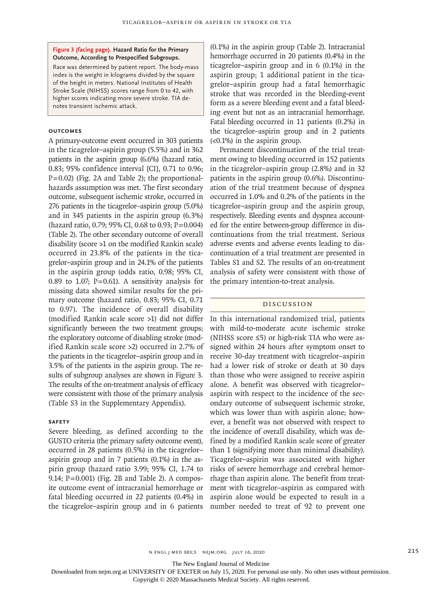#### **Figure 3 (facing page). Hazard Ratio for the Primary Outcome, According to Prespecified Subgroups.**

Race was determined by patient report. The body-mass index is the weight in kilograms divided by the square of the height in meters. National Institutes of Health Stroke Scale (NIHSS) scores range from 0 to 42, with higher scores indicating more severe stroke. TIA denotes transient ischemic attack.

## **Outcomes**

A primary-outcome event occurred in 303 patients in the ticagrelor–aspirin group (5.5%) and in 362 patients in the aspirin group (6.6%) (hazard ratio, 0.83; 95% confidence interval [CI], 0.71 to 0.96;  $P=0.02$ ) (Fig. 2A and Table 2); the proportionalhazards assumption was met. The first secondary outcome, subsequent ischemic stroke, occurred in 276 patients in the ticagrelor–aspirin group (5.0%) and in 345 patients in the aspirin group (6.3%) (hazard ratio, 0.79; 95% CI, 0.68 to 0.93; P=0.004) (Table 2). The other secondary outcome of overall disability (score >1 on the modified Rankin scale) occurred in 23.8% of the patients in the ticagrelor–aspirin group and in 24.1% of the patients in the aspirin group (odds ratio, 0.98; 95% CI, 0.89 to 1.07;  $P=0.61$ ). A sensitivity analysis for missing data showed similar results for the primary outcome (hazard ratio, 0.83; 95% CI, 0.71 to 0.97). The incidence of overall disability (modified Rankin scale score >1) did not differ significantly between the two treatment groups; the exploratory outcome of disabling stroke (modified Rankin scale score >2) occurred in 2.7% of the patients in the ticagrelor–aspirin group and in 3.5% of the patients in the aspirin group. The results of subgroup analyses are shown in Figure 3. The results of the on-treatment analysis of efficacy were consistent with those of the primary analysis (Table S3 in the Supplementary Appendix).

#### **Safety**

Severe bleeding, as defined according to the GUSTO criteria (the primary safety outcome event), occurred in 28 patients (0.5%) in the ticagrelor– aspirin group and in 7 patients (0.1%) in the aspirin group (hazard ratio 3.99; 95% CI, 1.74 to 9.14; P=0.001) (Fig. 2B and Table 2). A composite outcome event of intracranial hemorrhage or fatal bleeding occurred in 22 patients (0.4%) in the ticagrelor–aspirin group and in 6 patients

(0.1%) in the aspirin group (Table 2). Intracranial hemorrhage occurred in 20 patients (0.4%) in the ticagrelor–aspirin group and in 6 (0.1%) in the aspirin group; 1 additional patient in the ticagrelor–aspirin group had a fatal hemorrhagic stroke that was recorded in the bleeding-event form as a severe bleeding event and a fatal bleeding event but not as an intracranial hemorrhage. Fatal bleeding occurred in 11 patients (0.2%) in the ticagrelor–aspirin group and in 2 patients (<0.1%) in the aspirin group.

Permanent discontinuation of the trial treatment owing to bleeding occurred in 152 patients in the ticagrelor–aspirin group (2.8%) and in 32 patients in the aspirin group (0.6%). Discontinuation of the trial treatment because of dyspnea occurred in 1.0% and 0.2% of the patients in the ticagrelor–aspirin group and the aspirin group, respectively. Bleeding events and dyspnea accounted for the entire between-group difference in discontinuations from the trial treatment. Serious adverse events and adverse events leading to discontinuation of a trial treatment are presented in Tables S1 and S2. The results of an on-treatment analysis of safety were consistent with those of the primary intention-to-treat analysis.

#### Discussion

In this international randomized trial, patients with mild-to-moderate acute ischemic stroke (NIHSS score ≤5) or high-risk TIA who were assigned within 24 hours after symptom onset to receive 30-day treatment with ticagrelor–aspirin had a lower risk of stroke or death at 30 days than those who were assigned to receive aspirin alone. A benefit was observed with ticagrelor– aspirin with respect to the incidence of the secondary outcome of subsequent ischemic stroke, which was lower than with aspirin alone; however, a benefit was not observed with respect to the incidence of overall disability, which was defined by a modified Rankin scale score of greater than 1 (signifying more than minimal disability). Ticagrelor–aspirin was associated with higher risks of severe hemorrhage and cerebral hemorrhage than aspirin alone. The benefit from treatment with ticagrelor–aspirin as compared with aspirin alone would be expected to result in a number needed to treat of 92 to prevent one

n engl j med 383;3 nejm.org July 16, 2020 215

The New England Journal of Medicine

Downloaded from nejm.org at UNIVERSITY OF EXETER on July 15, 2020. For personal use only. No other uses without permission.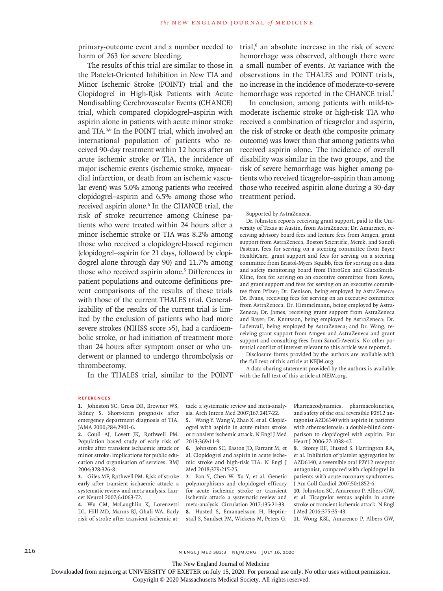primary-outcome event and a number needed to harm of 263 for severe bleeding.

The results of this trial are similar to those in the Platelet-Oriented Inhibition in New TIA and Minor Ischemic Stroke (POINT) trial and the Clopidogrel in High-Risk Patients with Acute Nondisabling Cerebrovascular Events (CHANCE) trial, which compared clopidogrel–aspirin with aspirin alone in patients with acute minor stroke and TIA.5,6 In the POINT trial, which involved an international population of patients who received 90-day treatment within 12 hours after an acute ischemic stroke or TIA, the incidence of major ischemic events (ischemic stroke, myocardial infarction, or death from an ischemic vascular event) was 5.0% among patients who received clopidogrel–aspirin and 6.5% among those who received aspirin alone.<sup>6</sup> In the CHANCE trial, the risk of stroke recurrence among Chinese patients who were treated within 24 hours after a minor ischemic stroke or TIA was 8.2% among those who received a clopidogrel-based regimen (clopidogrel–aspirin for 21 days, followed by clopidogrel alone through day 90) and 11.7% among those who received aspirin alone.<sup>5</sup> Differences in patient populations and outcome definitions prevent comparisons of the results of these trials with those of the current THALES trial. Generalizability of the results of the current trial is limited by the exclusion of patients who had more severe strokes (NIHSS score >5), had a cardioembolic stroke, or had initiation of treatment more than 24 hours after symptom onset or who underwent or planned to undergo thrombolysis or thrombectomy.

In the THALES trial, similar to the POINT

trial,6 an absolute increase in the risk of severe hemorrhage was observed, although there were a small number of events. At variance with the observations in the THALES and POINT trials, no increase in the incidence of moderate-to-severe hemorrhage was reported in the CHANCE trial.<sup>5</sup>

In conclusion, among patients with mild-tomoderate ischemic stroke or high-risk TIA who received a combination of ticagrelor and aspirin, the risk of stroke or death (the composite primary outcome) was lower than that among patients who received aspirin alone. The incidence of overall disability was similar in the two groups, and the risk of severe hemorrhage was higher among patients who received ticagrelor–aspirin than among those who received aspirin alone during a 30-day treatment period.

#### Supported by AstraZeneca.

Dr. Johnston reports receiving grant support, paid to the University of Texas at Austin, from AstraZeneca; Dr. Amarenco, receiving advisory board fees and lecture fees from Amgen, grant support from AstraZeneca, Boston Scientific, Merck, and Sanofi Pasteur, fees for serving on a steering committee from Bayer HealthCare, grant support and fees for serving on a steering committee from Bristol-Myers Squibb, fees for serving on a data and safety monitoring board from FibroGen and GlaxoSmith-Kline, fees for serving on an executive committee from Kowa, and grant support and fees for serving on an executive committee from Pfizer; Dr. Denison, being employed by AstraZeneca; Dr. Evans, receiving fees for serving on an executive committee from AstraZeneca; Dr. Himmelmann, being employed by Astra-Zeneca; Dr. James, receiving grant support from AstraZeneca and Bayer; Dr. Knutsson, being employed by AstraZeneca; Dr. Ladenvall, being employed by AstraZeneca; and Dr. Wang, receiving grant support from Amgen and AstraZeneca and grant support and consulting fees from Sanofi-Aventis. No other potential conflict of interest relevant to this article was reported.

Disclosure forms provided by the authors are available with the full text of this article at NEJM.org.

A data sharing statement provided by the authors is available with the full text of this article at NEJM.org.

#### **References**

**1.** Johnston SC, Gress DR, Browner WS, Sidney S. Short-term prognosis after emergency department diagnosis of TIA. JAMA 2000;284:2901-6.

**2.** Coull AJ, Lovett JK, Rothwell PM. Population based study of early risk of stroke after transient ischaemic attack or minor stroke: implications for public education and organisation of services. BMJ 2004;328:326-8.

**3.** Giles MF, Rothwell PM. Risk of stroke early after transient ischaemic attack: a systematic review and meta-analysis. Lancet Neurol 2007;6:1063-72.

**4.** Wu CM, McLaughlin K, Lorenzetti DL, Hill MD, Manns BJ, Ghali WA. Early risk of stroke after transient ischemic attack: a systematic review and meta-analysis. Arch Intern Med 2007;167:2417-22.

**5.** Wang Y, Wang Y, Zhao X, et al. Clopidogrel with aspirin in acute minor stroke or transient ischemic attack. N Engl J Med 2013;369:11-9.

**6.** Johnston SC, Easton JD, Farrant M, et al. Clopidogrel and aspirin in acute ischemic stroke and high-risk TIA. N Engl J Med 2018:379:215-25.

**7.** Pan Y, Chen W, Xu Y, et al. Genetic polymorphisms and clopidogrel efficacy for acute ischemic stroke or transient ischemic attack: a systematic review and meta-analysis. Circulation 2017;135:21-33. **8.** Husted S, Emanuelsson H, Heptinstall S, Sandset PM, Wickens M, Peters G. Pharmacodynamics, pharmacokinetics, and safety of the oral reversible P2Y12 antagonist AZD6140 with aspirin in patients with atherosclerosis: a double-blind comparison to clopidogrel with aspirin. Eur Heart J 2006;27:1038-47.

**9.** Storey RF, Husted S, Harrington RA, et al. Inhibition of platelet aggregation by AZD6140, a reversible oral P2Y12 receptor antagonist, compared with clopidogrel in patients with acute coronary syndromes. J Am Coll Cardiol 2007;50:1852-6.

**10.** Johnston SC, Amarenco P, Albers GW, et al. Ticagrelor versus aspirin in acute stroke or transient ischemic attack. N Engl J Med 2016;375:35-43.

**11.** Wong KSL, Amarenco P, Albers GW,

216 n engl j med 383;3 nejm.org July 16, 2020

The New England Journal of Medicine

Downloaded from nejm.org at UNIVERSITY OF EXETER on July 15, 2020. For personal use only. No other uses without permission.